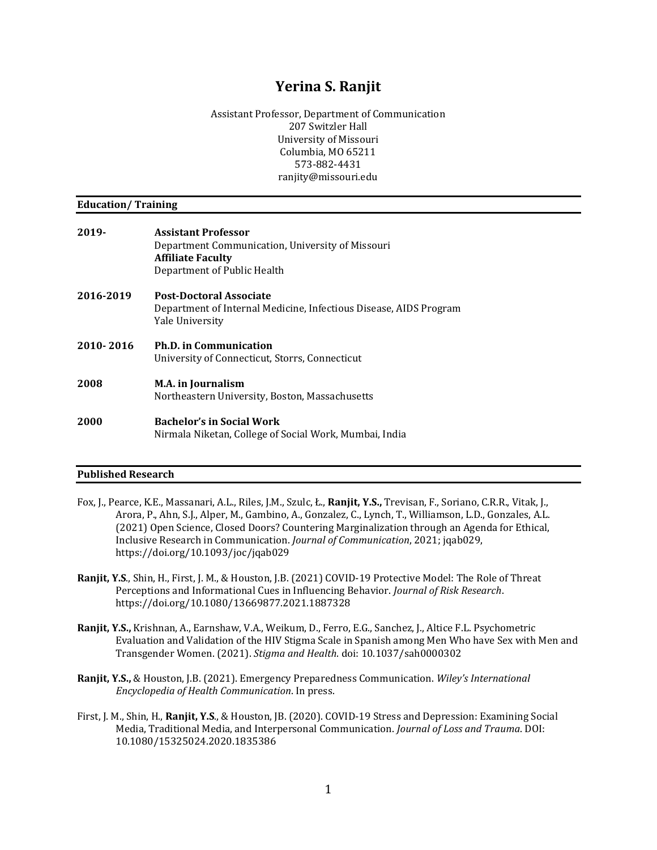# **Yerina S. Ranjit**

Assistant Professor, Department of Communication 207 Switzler Hall University of Missouri Columbia, MO 65211 573-882-4431 ranjity@missouri.edu

#### **Education/ Training**

| 2019-     | <b>Assistant Professor</b><br>Department Communication, University of Missouri<br><b>Affiliate Faculty</b><br>Department of Public Health |
|-----------|-------------------------------------------------------------------------------------------------------------------------------------------|
| 2016-2019 | <b>Post-Doctoral Associate</b><br>Department of Internal Medicine, Infectious Disease, AIDS Program<br>Yale University                    |
| 2010-2016 | <b>Ph.D. in Communication</b><br>University of Connecticut, Storrs, Connecticut                                                           |
| 2008      | <b>M.A.</b> in Journalism<br>Northeastern University, Boston, Massachusetts                                                               |
| 2000      | <b>Bachelor's in Social Work</b>                                                                                                          |

Nirmala Niketan, College of Social Work, Mumbai, India

# **Published Research**

- Fox, J., Pearce, K.E., Massanari, A.L., Riles, J.M., Szulc, Ł., **Ranjit, Y.S.,** Trevisan, F., Soriano, C.R.R., Vitak, J., Arora, P., Ahn, S.J., Alper, M., Gambino, A., Gonzalez, C., Lynch, T., Williamson, L.D., Gonzales, A.L. (2021) Open Science, Closed Doors? Countering Marginalization through an Agenda for Ethical, Inclusive Research in Communication. *Journal of Communication*, 2021; jqab029, https://doi.org/10.1093/joc/jqab029
- **Ranjit, Y.S**., Shin, H., First, J. M., & Houston, J.B. (2021) COVID-19 Protective Model: The Role of Threat Perceptions and Informational Cues in Influencing Behavior. *Journal of Risk Research*. https://doi.org/10.1080/13669877.2021.1887328
- **Ranjit, Y.S.,** Krishnan, A., Earnshaw, V.A., Weikum, D., Ferro, E.G., Sanchez, J., Altice F.L. Psychometric Evaluation and Validation of the HIV Stigma Scale in Spanish among Men Who have Sex with Men and Transgender Women. (2021). *Stigma and Health*. doi: 10.1037/sah0000302
- **Ranjit, Y.S.,** & Houston, J.B. (2021). Emergency Preparedness Communication. *Wiley's International Encyclopedia of Health Communication*. In press.
- First, J. M., Shin, H., **Ranjit, Y.S**., & Houston, JB. (2020). COVID-19 Stress and Depression: Examining Social Media, Traditional Media, and Interpersonal Communication. *Journal of Loss and Trauma*. DOI: 10.1080/15325024.2020.1835386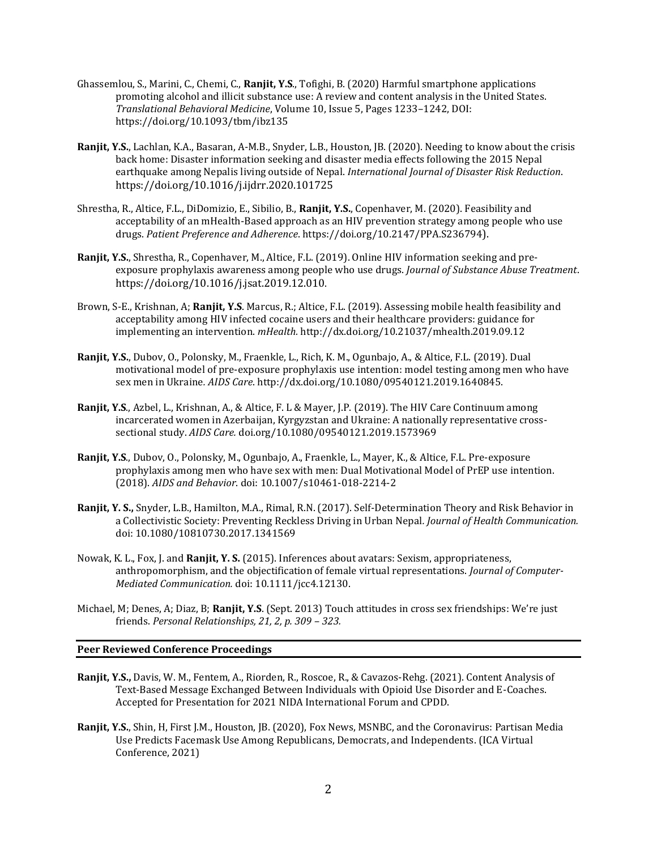- Ghassemlou, S., Marini, C., Chemi, C., **Ranjit, Y.S**., Tofighi, B. (2020) Harmful smartphone applications promoting alcohol and illicit substance use: A review and content analysis in the United States. *Translational Behavioral Medicine*, Volume 10, Issue 5, Pages 1233–1242, DOI: https://doi.org/10.1093/tbm/ibz135
- **Ranjit, Y.S.**, Lachlan, K.A., Basaran, A-M.B., Snyder, L.B., Houston, JB. (2020). Needing to know about the crisis back home: Disaster information seeking and disaster media effects following the 2015 Nepal earthquake among Nepalis living outside of Nepal. *International Journal of Disaster Risk Reduction*. https://doi.org/10.1016/j.ijdrr.2020.101725
- Shrestha, R., Altice, F.L., DiDomizio, E., Sibilio, B., **Ranjit, Y.S.**, Copenhaver, M. (2020). Feasibility and acceptability of an mHealth-Based approach as an HIV prevention strategy among people who use drugs. *Patient Preference and Adherence*. https://doi.org/10.2147/PPA.S236794).
- **Ranjit, Y.S.**, Shrestha, R., Copenhaver, M., Altice, F.L. (2019). Online HIV information seeking and preexposure prophylaxis awareness among people who use drugs. *Journal of Substance Abuse Treatment*. https://doi.org/10.1016/j.jsat.2019.12.010.
- Brown, S-E., Krishnan, A; **Ranjit, Y.S**. Marcus, R.; Altice, F.L. (2019). Assessing mobile health feasibility and acceptability among HIV infected cocaine users and their healthcare providers: guidance for implementing an intervention. *mHealth.* http://dx.doi.org/10.21037/mhealth.2019.09.12
- **Ranjit, Y.S.**, Dubov, O., Polonsky, M., Fraenkle, L., Rich, K. M., Ogunbajo, A., & Altice, F.L. (2019). Dual motivational model of pre-exposure prophylaxis use intention: model testing among men who have sex men in Ukraine*. AIDS Care*. http://dx.doi.org/10.1080/09540121.2019.1640845.
- **Ranjit, Y.S**., Azbel, L., Krishnan, A., & Altice, F. L & Mayer, J.P. (2019). The HIV Care Continuum among incarcerated women in Azerbaijan, Kyrgyzstan and Ukraine: A nationally representative crosssectional study. *AIDS Care.* doi.org/10.1080/09540121.2019.1573969
- **Ranjit, Y.S**., Dubov, O., Polonsky, M., Ogunbajo, A., Fraenkle, L., Mayer, K., & Altice, F.L. Pre-exposure prophylaxis among men who have sex with men: Dual Motivational Model of PrEP use intention. (2018). *AIDS and Behavior*. doi: 10.1007/s10461-018-2214-2
- **Ranjit, Y. S.,** Snyder, L.B., Hamilton, M.A., Rimal, R.N. (2017). Self-Determination Theory and Risk Behavior in a Collectivistic Society: Preventing Reckless Driving in Urban Nepal*. Journal of Health Communication.*  doi: 10.1080/10810730.2017.1341569
- Nowak, K. L., Fox, J. and **Ranjit, Y. S.** (2015). Inferences about avatars: Sexism, appropriateness, anthropomorphism, and the objectification of female virtual representations. *Journal of Computer-Mediated Communication.* doi: 10.1111/jcc4.12130.
- Michael, M; Denes, A; Diaz, B; **Ranjit, Y.S**. (Sept. 2013) Touch attitudes in cross sex friendships: We're just friends. *Personal Relationships, 21, 2, p. 309 – 323.*

# **Peer Reviewed Conference Proceedings**

- **Ranjit, Y.S.,** Davis, W. M., Fentem, A., Riorden, R., Roscoe, R., & Cavazos-Rehg. (2021). Content Analysis of Text-Based Message Exchanged Between Individuals with Opioid Use Disorder and E-Coaches. Accepted for Presentation for 2021 NIDA International Forum and CPDD.
- **Ranjit, Y.S.**, Shin, H, First J.M., Houston, JB. (2020), Fox News, MSNBC, and the Coronavirus: Partisan Media Use Predicts Facemask Use Among Republicans, Democrats, and Independents. (ICA Virtual Conference, 2021)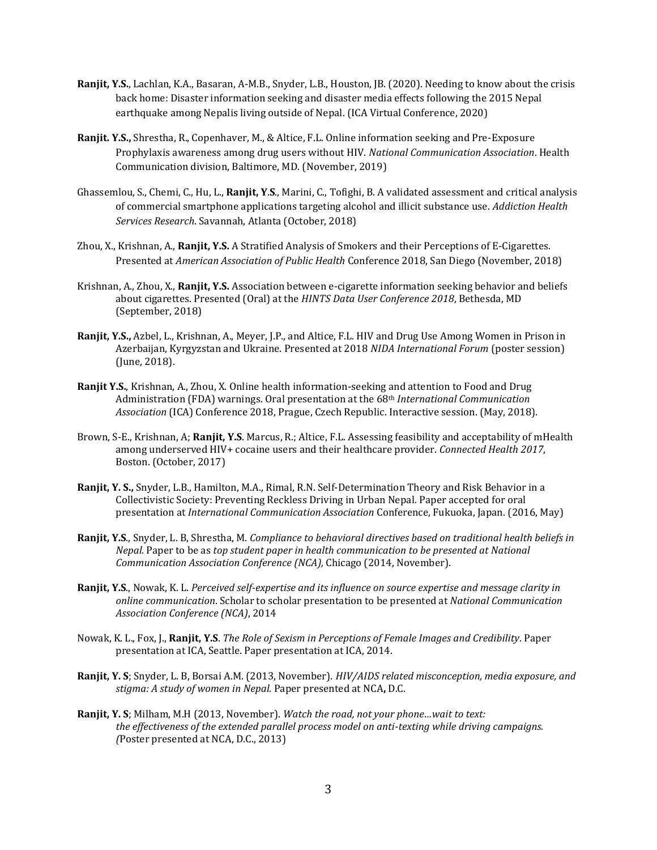- **Ranjit, Y.S.**, Lachlan, K.A., Basaran, A-M.B., Snyder, L.B., Houston, JB. (2020). Needing to know about the crisis back home: Disaster information seeking and disaster media effects following the 2015 Nepal earthquake among Nepalis living outside of Nepal. (ICA Virtual Conference, 2020)
- **Ranjit. Y.S.,** Shrestha, R., Copenhaver, M., & Altice, F.L. Online information seeking and Pre-Exposure Prophylaxis awareness among drug users without HIV. *National Communication Association*. Health Communication division, Baltimore, MD. (November, 2019)
- Ghassemlou, S., Chemi, C., Hu, L., **Ranjit, Y**.**S**., Marini, C., Tofighi, B. A validated assessment and critical analysis of commercial smartphone applications targeting alcohol and illicit substance use. *Addiction Health Services Research*. Savannah, Atlanta (October, 2018)
- Zhou, X., Krishnan, A., **Ranjit, Y.S.** A Stratified Analysis of Smokers and their Perceptions of E-Cigarettes. Presented at *American Association of Public Health* Conference 2018, San Diego (November, 2018)
- Krishnan, A., Zhou, X., **Ranjit, Y.S.** Association between e-cigarette information seeking behavior and beliefs about cigarettes. Presented (Oral) at the *HINTS Data User Conference 2018*, Bethesda, MD (September, 2018)
- **Ranjit, Y.S.,** Azbel, L., Krishnan, A., Meyer, J.P., and Altice, F.L. HIV and Drug Use Among Women in Prison in Azerbaijan, Kyrgyzstan and Ukraine. Presented at 2018 *NIDA International Forum* (poster session) (June, 2018).
- **Ranjit Y.S.**, Krishnan, A., Zhou, X. Online health information-seeking and attention to Food and Drug Administration (FDA) warnings. Oral presentation at the 68th *International Communication Association* (ICA) Conference 2018, Prague, Czech Republic. Interactive session. (May, 2018).
- Brown, S-E., Krishnan, A; **Ranjit, Y.S**. Marcus, R.; Altice, F.L. Assessing feasibility and acceptability of mHealth among underserved HIV+ cocaine users and their healthcare provider. *Connected Health 2017*, Boston. (October, 2017)
- **Ranjit, Y. S.,** Snyder, L.B., Hamilton, M.A., Rimal, R.N. Self-Determination Theory and Risk Behavior in a Collectivistic Society: Preventing Reckless Driving in Urban Nepal*.* Paper accepted for oral presentation at *International Communication Association* Conference, Fukuoka, Japan. (2016, May)
- **Ranjit, Y.S**., Snyder, L. B, Shrestha, M. *Compliance to behavioral directives based on traditional health beliefs in Nepal.* Paper to be as *top student paper in health communication to be presented at National Communication Association Conference (NCA),* Chicago (2014, November).
- **Ranjit, Y.S**., Nowak, K. L. *Perceived self-expertise and its influence on source expertise and message clarity in online communication*. Scholar to scholar presentation to be presented at *National Communication Association Conference (NCA)*, 2014
- Nowak, K. L., Fox, J., **Ranjit, Y.S**. *The Role of Sexism in Perceptions of Female Images and Credibility*. Paper presentation at ICA, Seattle. Paper presentation at ICA, 2014.
- **Ranjit, Y. S**; Snyder, L. B, Borsai A.M. (2013, November). *HIV/AIDS related misconception, media exposure, and stigma: A study of women in Nepal.* Paper presented at NCA**,** D.C.
- **Ranjit, Y. S**; Milham, M.H (2013, November). *Watch the road, not your phone…wait to text: the effectiveness of the extended parallel process model on anti-texting while driving campaigns. (*Poster presented at NCA, D.C., 2013)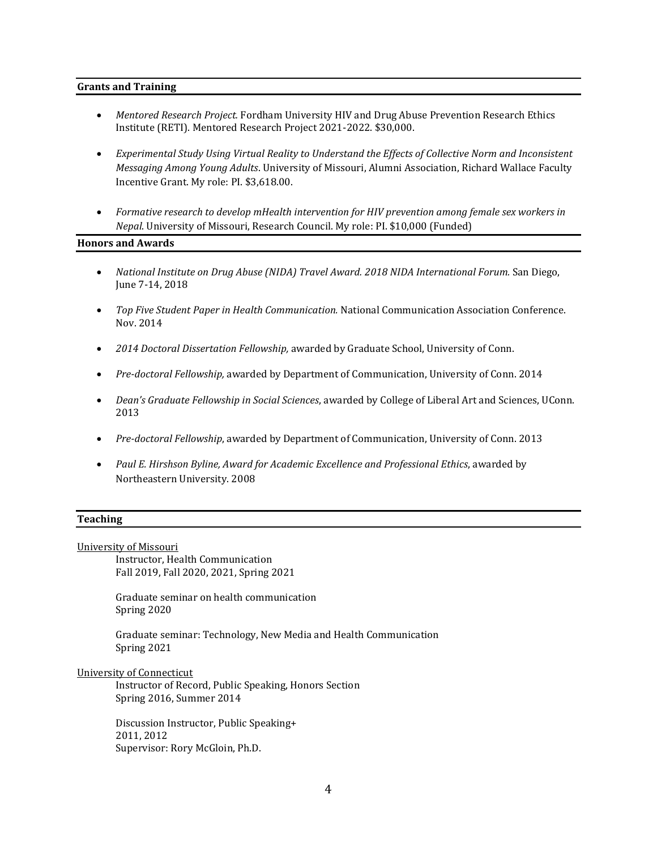#### **Grants and Training**

- *Mentored Research Project.* Fordham University HIV and Drug Abuse Prevention Research Ethics Institute (RETI). Mentored Research Project 2021-2022. \$30,000.
- *Experimental Study Using Virtual Reality to Understand the Effects of Collective Norm and Inconsistent Messaging Among Young Adults*. University of Missouri, Alumni Association, Richard Wallace Faculty Incentive Grant. My role: PI. \$3,618.00.
- *Formative research to develop mHealth intervention for HIV prevention among female sex workers in Nepal*. University of Missouri, Research Council. My role: PI. \$10,000 (Funded)

#### **Honors and Awards**

- *National Institute on Drug Abuse (NIDA) Travel Award. 2018 NIDA International Forum.* San Diego, June 7-14, 2018
- *Top Five Student Paper in Health Communication.* National Communication Association Conference. Nov. 2014
- *2014 Doctoral Dissertation Fellowship,* awarded by Graduate School, University of Conn.
- *Pre-doctoral Fellowship,* awarded by Department of Communication, University of Conn. 2014
- *Dean's Graduate Fellowship in Social Sciences*, awarded by College of Liberal Art and Sciences, UConn. 2013
- *Pre-doctoral Fellowship*, awarded by Department of Communication, University of Conn. 2013
- *Paul E. Hirshson Byline, Award for Academic Excellence and Professional Ethics*, awarded by Northeastern University. 2008

# **Teaching**

University of Missouri

Instructor, Health Communication Fall 2019, Fall 2020, 2021, Spring 2021

Graduate seminar on health communication Spring 2020

Graduate seminar: Technology, New Media and Health Communication Spring 2021

University of Connecticut

Instructor of Record, Public Speaking, Honors Section Spring 2016, Summer 2014

Discussion Instructor, Public Speaking+ 2011, 2012 Supervisor: Rory McGloin, Ph.D.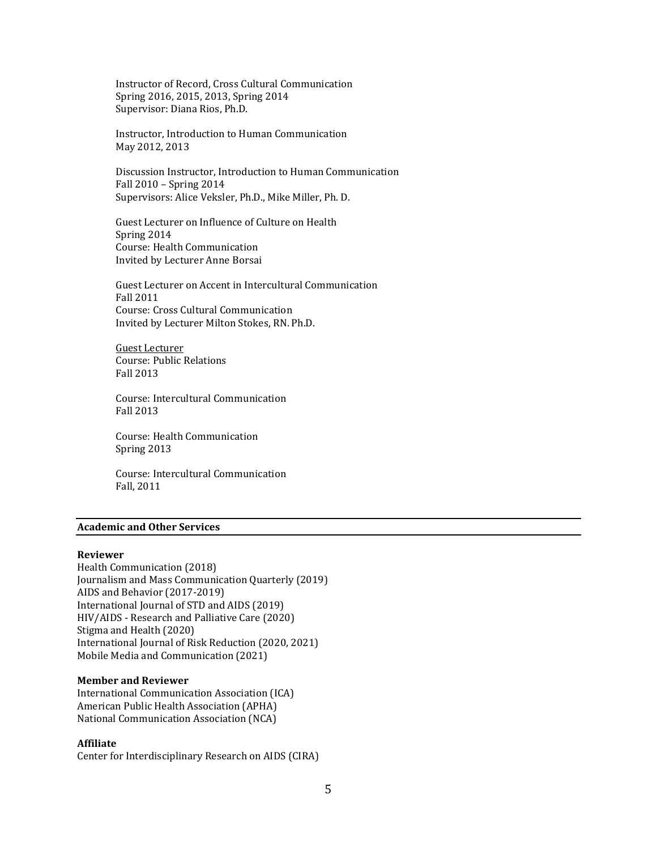Instructor of Record, Cross Cultural Communication Spring 2016, 2015, 2013, Spring 2014 Supervisor: Diana Rios, Ph.D.

Instructor, Introduction to Human Communication May 2012, 2013

Discussion Instructor, Introduction to Human Communication Fall 2010 – Spring 2014 Supervisors: Alice Veksler, Ph.D., Mike Miller, Ph. D.

Guest Lecturer on Influence of Culture on Health Spring 2014 Course: Health Communication Invited by Lecturer Anne Borsai

Guest Lecturer on Accent in Intercultural Communication Fall 2011 Course: Cross Cultural Communication Invited by Lecturer Milton Stokes, RN. Ph.D.

Guest Lecturer Course: Public Relations Fall 2013

Course: Intercultural Communication Fall 2013

Course: Health Communication Spring 2013

Course: Intercultural Communication Fall, 2011

### **Academic and Other Services**

#### **Reviewer**

Health Communication (2018) Journalism and Mass Communication Quarterly (2019) AIDS and Behavior (2017-2019) International Journal of STD and AIDS (2019) HIV/AIDS - Research and Palliative Care (2020) Stigma and Health (2020) International Journal of Risk Reduction (2020, 2021) Mobile Media and Communication (2021)

#### **Member and Reviewer**

International Communication Association (ICA) American Public Health Association (APHA) National Communication Association (NCA)

# **Affiliate**

Center for Interdisciplinary Research on AIDS (CIRA)